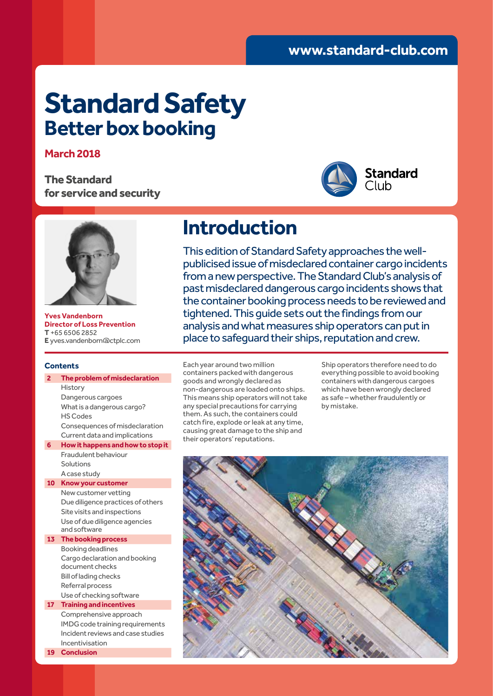# **Standard Safety Better box booking**

### **March 2018**

**The Standard for service and security**





**Yves Vandenborn Director of Loss Prevention T** +65 6506 2852 **E** yves.vandenborn@ctplc.com

### **Contents**

### **2 The problem of misdeclaration** History Dangerous cargoes What is a dangerous cargo? HS Codes Consequences of misdeclaration Current data and implications **6 How it happens and how to stop it** Fraudulent behaviour Solutions A case study **10 Know your customer** New customer vetting Due diligence practices of others Site visits and inspections Use of due diligence agencies and software **13 The booking process** Booking deadlines Cargo declaration and booking document checks Bill of lading checks Referral process Use of checking software **17 Training and incentives** Comprehensive approach IMDG code training requirements Incident reviews and case studies Incentivisation **19 Conclusion**

# **Introduction**

This edition of Standard Safety approaches the wellpublicised issue of misdeclared container cargo incidents from a new perspective. The Standard Club's analysis of past misdeclared dangerous cargo incidents shows that the container booking process needs to be reviewed and tightened. This guide sets out the findings from our analysis and what measures ship operators can put in place to safeguard their ships, reputation and crew.

Each year around two million containers packed with dangerous goods and wrongly declared as non-dangerous are loaded onto ships. This means ship operators will not take any special precautions for carrying them. As such, the containers could catch fire, explode or leak at any time, causing great damage to the ship and their operators' reputations.

Ship operators therefore need to do everything possible to avoid booking containers with dangerous cargoes which have been wrongly declared as safe – whether fraudulently or by mistake.

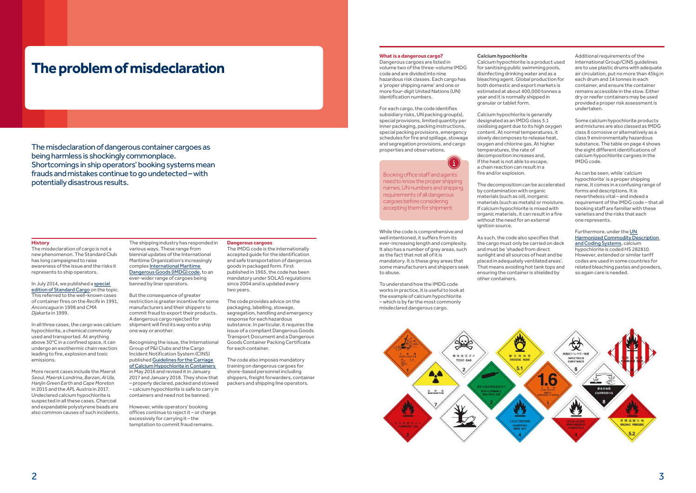## **The problem of misdeclaration**

The misdeclaration of dangerous container cargoes as being harmless is shockingly commonplace. Shortcomings in ship operators' booking systems mean frauds and mistakes continue to go undetected – with potentially disastrous results.

### **History**

The misdeclaration of cargo is not a new phenomenon. The Standard Club has long campaigned to raise awareness of the issue and the risks it represents to ship operators.

In July 2014, we published a special edition of Standard Cargo on the topic. This referred to the well-known cases of container fires on the *Recife* in 1991, *Anconcagua* in 1998 and *CMA Djakarta* in 1999.

In all three cases, the cargo was calcium hypochlorite, a chemical commonly used and transported. At anything above 30°C in a confined space, it can undergo an exothermic chain reaction leading to fire, explosion and toxic emissions.

More recent cases include the *Maersk Seoul*, *Maersk Londrina*, *Barzan*, *Al Ula*, *Hanjin Green Earth* and *Cape Moreton*  in 2015 and the *APL Austria* in 2017. Undeclared calcium hypochlorite is suspected in all these cases. Charcoal and expandable polystyrene beads are also common causes of such incidents.

**What is a dangerous cargo?** Dangerous cargoes are listed in

volume two of the three-volume IMDG code and are divided into nine hazardous risk classes. Each cargo has a 'proper shipping name' and one or more four-digit United Nations (UN) identification numbers.

For each cargo, the code identifies subsidiary risks, UN packing group(s), special provisions, limited quantity per inner packaging, packing instructions, special packing provisions, emergency schedules for fire and spillage, stowage and segregation provisions, and cargo properties and observations.



While the code is comprehensive and well intentioned, it suffers from its ever-increasing length and complexity. It also has a number of grey areas, such as the fact that not all of it is mandatory. It is these grey areas that some manufacturers and shippers seek to abuse.

To understand how the IMDG code works in practice, it is useful to look at the example of calcium hypochlorite – which is by far the most commonly misdeclared dangerous cargo.



The shipping industry has responded in

### various ways. These range from biennial updates of the International Maritime Organization's increasingly

complex International Maritime Dangerous Goods (IMDG) code, to an ever-wider range of cargoes being banned by liner operators.

But the consequence of greater restriction is greater incentive for some manufacturers and their shippers to commit fraud to export their products. A dangerous cargo rejected for shipment will find its way onto a ship one way or another.

Recognising the issue, the International Group of P&I Clubs and the Cargo Incident Notification System (CINS) published Guidelines for the Carriage of Calcium Hypochlorite in Containers in May 2016 and revised it in January 2017 and January 2018. They show that – properly declared, packed and stowed – calcium hypochlorite is safe to carry in containers and need not be banned.

However, while operators' booking offices continue to reject it – or charge excessively for carrying it – the temptation to commit fraud remains.

### **Calcium hypochlorite**

Calcium hypochlorite is a product used for sanitising public swimming pools, disinfecting drinking water and as a bleaching agent. Global production for both domestic and export markets is estimated at about 400,000 tonnes a year and it is normally shipped in granular or tablet form.

Calcium hypochlorite is generally designated as an IMDG class 5.1 oxidising agent due to its high oxygen content. At normal temperatures, it slowly decomposes to release heat, oxygen and chlorine gas. At higher temperatures, the rate of decomposition increases and, if the heat is not able to escape, a chain reaction can result in a

fire and/or explosion.

The decomposition can be accelerated by contamination with organic materials (such as oil), inorganic materials (such as metals) or moisture. If calcium hypochlorite is mixed with organic materials, it can result in a fire without the need for an external

ignition source.

As such, the code also specifies that the cargo must only be carried on deck and must be 'shaded from direct sunlight and all sources of heat and be placed in adequately ventilated areas'. That means avoiding hot tank tops and ensuring the container is shielded by

other containers.

#### **Dangerous cargoes**

The IMDG code is the internationally accepted guide for the identification and safe transportation of dangerous goods in packaged form. First published in 1965, the code has been mandatory under SOLAS regulations since 2004 and is updated every two years.

The code provides advice on the packaging, labelling, stowage, segregation, handling and emergency response for each hazardous substance. In particular, it requires the issue of a compliant Dangerous Goods Transport Document and a Dangerous Goods Container Packing Certificate for each container.

The code also imposes mandatory training on dangerous cargoes for shore-based personnel including shippers, freight forwarders, container packers and shipping line operators.

Additional requirements of the International Group/CINS guidelines are to use plastic drums with adequate air circulation, put no more than 45kg in each drum and 14 tonnes in each container, and ensure the container remains accessible in the stow. Either dry or reefer containers may be used provided a proper risk assessment is undertaken.

Some calcium hypochlorite products and mixtures are also classed as IMDG class 8 corrosive or alternatively as a class 9 environmentally hazardous substance. The table on page 4 shows the eight different identifications of calcium hypochlorite cargoes in the IMDG code.

As can be seen, while 'calcium hypochlorite' is a proper shipping name, it comes in a confusing range of forms and descriptions. It is nevertheless vital – and indeed a requirement of the IMDG code – that all booking staff are familiar with these varieties and the risks that each one represents.

Furthermore, under the UN Harmonized Commodity Description and Coding Systems, calcium hypochlorite is coded HS 282810. However, extended or similar tariff codes are used in some countries for related bleaching pastes and powders, so again care is needed.

Booking office staff and agents need to know the proper shipping names, UN numbers and shipping requirements of all dangerous cargoes before considering accepting them for shipment.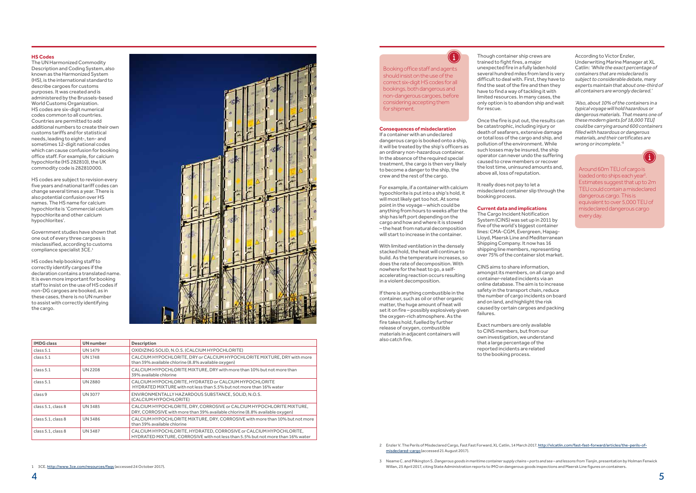### **Consequences of misdeclaration**

If a container with an undeclared dangerous cargo is booked onto a ship, it will be treated by the ship's officers as an ordinary non-hazardous container. In the absence of the required special treatment, the cargo is then very likely to become a danger to the ship, the crew and the rest of the cargo.

For example, if a container with calcium hypochlorite is put into a ship's hold, it will most likely get too hot. At some point in the voyage – which could be anything from hours to weeks after the ship has left port depending on the cargo and how and where it is stowed – the heat from natural decomposition will start to increase in the container.

With limited ventilation in the densely stacked hold, the heat will continue to build. As the temperature increases, so does the rate of decomposition. With nowhere for the heat to go, a selfaccelerating reaction occurs resulting in a violent decomposition.

If there is anything combustible in the container, such as oil or other organic matter, the huge amount of heat will set it on fire – possibly explosively given the oxygen-rich atmosphere. As the fire takes hold, fuelled by further release of oxygen, combustible materials in adjacent containers will also catch fire.

Though container ship crews are trained to fight fires, a major unexpected fire in a fully laden hold several hundred miles from land is very difficult to deal with. First, they have to find the seat of the fire and then they have to find a way of tackling it with limited resources. In many cases, the only option is to abandon ship and wait for rescue.

Once the fire is put out, the results can be catastrophic, including injury or death of seafarers, extensive damage or total loss of the cargo and ship, and pollution of the environment. While such losses may be insured, the ship operator can never undo the suffering caused to crew members or recover the lost time, uninsured amounts and, above all, loss of reputation.

It really does not pay to let a misdeclared container slip through the booking process.

### **Current data and implications**

The Cargo Incident Notification System (CINS) was set up in 2011 by five of the world's biggest container lines: CMA-CGM, Evergreen, Hapag-Lloyd, Maersk Line and Mediterranean Shipping Company. It now has 16 shipping line members, representing over 75% of the container slot market.

CINS aims to share information, amongst its members, on all cargo and container-related incidents via an online database. The aim is to increase safety in the transport chain, reduce the number of cargo incidents on board and on land, and highlight the risk caused by certain cargoes and packing failures.

Exact numbers are only available to CINS members, but from our own investigation, we understand that a large percentage of the reported incidents are related to the booking process.

According to Victor Enzler, Underwriting Marine Manager at XL Catlin: *'While the exact percentage of containers that are misdeclared is subject to considerable debate, many experts maintain that about one-third of all containers are wrongly declared.'*

*'Also, about 10% of the containers in a typical voyage will hold hazardous or dangerous materials. That means one of these modern giants [of 18,000 TEU] could be carrying around 600 containers filled with hazardous or dangerous materials, and their certificates are wrong or incomplete.'*<sup>2</sup>



### **HS Codes**

The UN Harmonized Commodity Description and Coding System, also known as the Harmonized System (HS), is the international standard to describe cargoes for customs purposes. It was created and is administered by the Brussels-based World Customs Organization. HS codes are six-digit numerical codes common to all countries. Countries are permitted to add additional numbers to create their own customs tariffs and for statistical needs, leading to eight-, ten- and sometimes 12-digit national codes which can cause confusion for booking office staff. For example, for calcium hypochlorite (HS 282810), the UK commodity code is 282810000.

HS codes are subject to revision every five years and national tariff codes can change several times a year. There is also potential confusion over HS names. The HS name for calcium hypochlorite is 'Commercial calcium hypochlorite and other calcium hypochlorites'.

Government studies have shown that one out of every three cargoes is misclassified, according to customs compliance specialist 3CE.1

HS codes help booking staff to correctly identify cargoes if the declaration contains a translated name. It is even more important for booking staff to insist on the use of HS codes if non-DG cargoes are booked, as in these cases, there is no UN number to assist with correctly identifying the cargo.



| <b>IMDG class</b>  | <b>UN</b> number | <b>Description</b>                                                                                                                                    |
|--------------------|------------------|-------------------------------------------------------------------------------------------------------------------------------------------------------|
| class $5.1$        | UN 1479          | OXIDIZING SOLID, N.O.S. (CALCIUM HYPOCHLORITE)                                                                                                        |
| class 5.1          | <b>UN 1748</b>   | CALCIUM HYPOCHLORITE, DRY or CALCIUM HYPOCHLORITE MIXTURE, DRY with more<br>than 39% available chlorine (8.8% available oxygen)                       |
| class 5.1          | <b>UN 2208</b>   | CALCIUM HYPOCHLORITE MIXTURE. DRY with more than 10% but not more than<br>39% available chlorine                                                      |
| class 5.1          | <b>UN 2880</b>   | CALCIUM HYPOCHLORITE, HYDRATED or CALCIUM HYPOCHLORITE<br>HYDRATED MIXTURE with not less than 5.5% but not more than 16% water                        |
| class 9            | <b>UN 3077</b>   | ENVIRONMENTALLY HAZARDOUS SUBSTANCE, SOLID, N.O.S.<br>(CALCIUM HYPOCHLORITE)                                                                          |
| class 5.1, class 8 | <b>UN 3485</b>   | CALCIUM HYPOCHLORITE, DRY, CORROSIVE or CALCIUM HYPOCHLORITE MIXTURE,<br>DRY, CORROSIVE with more than 39% available chlorine (8.8% available oxygen) |
| class 5.1, class 8 | <b>UN 3486</b>   | CALCIUM HYPOCHLORITE MIXTURE, DRY, CORROSIVE with more than 10% but not more<br>than 39% available chlorine                                           |
| class 5.1, class 8 | <b>UN 3487</b>   | CALCIUM HYPOCHLORITE, HYDRATED, CORROSIVE or CALCIUM HYPOCHLORITE,<br>HYDRATED MIXTURE, CORROSIVE with not less than 5.5% but not more than 16% water |

Around 60m TEU of cargo is loaded onto ships each year<sup>3</sup> . Estimates suggest that up to 2m TEU could contain a misdeclared dangerous cargo. This is equivalent to over 5,000 TEU of misdeclared dangerous cargo every day.

### $\bf (i)$

2 Enzler V. The Perils of Misdeclared Cargo, Fast Fast Forward, XL Catlin, 14 March 2017. http://xlcatlin.com/fast-fast-forward/articles/the-perils-ofmisdeclared-cargo (accessed 21 August 2017).

3 Neame C. and Pilkington S. *Dangerous goods in maritime container supply chains – ports and sea – and lessons from Tianjin*, presentation by Holman Fenwick Willan, 25 April 2017, citing State Administration reports to IMO on dangerous goods inspections and Maersk Line figures on containers.

Booking office staff and agents should insist on the use of the correct six-digit HS codes for all bookings, both dangerous and non-dangerous cargoes, before considering accepting them for shipment.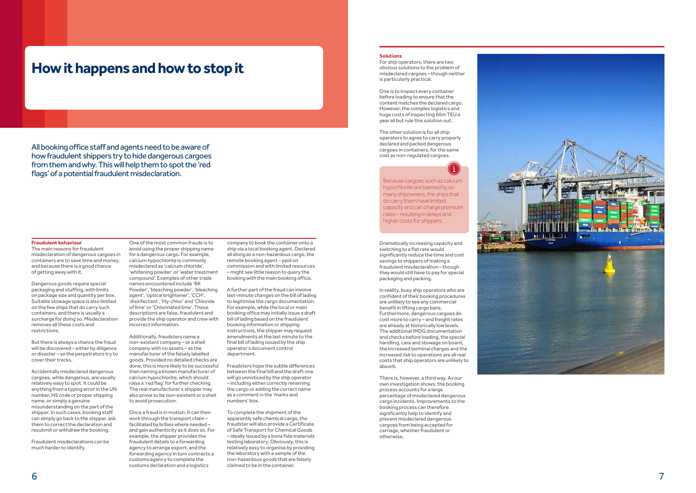

#### **Fraudulent behaviour**

The main reasons for fraudulent misdeclaration of dangerous cargoes in containers are to save time and money, and because there is a good chance of getting away with it.

Dangerous goods require special packaging and stuffing, with limits on package size and quantity per box. Suitable stowage space is also limited on the few ships that do carry such containers, and there is usually a surcharge for doing so. Misdeclaration removes all these costs and restrictions.

But there is always a chance the fraud will be discovered – either by diligence or disaster – so the perpetrators try to cover their tracks.

Accidentally misdeclared dangerous cargoes, while dangerous, are usually relatively easy to spot. It could be anything from a typing error in the UN number, HS code or proper shipping name, or simply a genuine misunderstanding on the part of the shipper. In such cases, booking staff can simply go back to the shipper, ask them to correct the declaration and resubmit or withdraw the booking.

Fraudulent misdeclarations can be much harder to identify.

One of the most common frauds is to

avoid using the proper shipping name for a dangerous cargo. For example, calcium hypochlorite is commonly misdeclared as 'calcium chloride', 'whitening powder' or 'water treatment compound'. Examples of other trade names encountered include 'BK Powder', 'bleaching powder', 'bleaching agent', 'optical brightener', 'CCH', 'disinfectant', 'Hy-chlor' and 'Chloride of lime' or 'Chlorinated lime'. These descriptions are false, fraudulent and provide the ship operator and crew with incorrect information.

Additionally, fraudsters name a non-existent company – or a shell company with no assets – as the manufacturer of the falsely labelled goods. Provided no detailed checks are done, this is more likely to be successful than naming a known manufacturer of calcium hypochlorite, which should raise a 'red flag' for further checking. The real manufacturer's shipper may also prove to be non-existent or a shell to avoid prosecution.

Once a fraud is in motion, it can then work through the transport chain – facilitated by bribes where needed – and gain authenticity as it does so. For example, the shipper provides the fraudulent details to a forwarding agency to arrange export, and the forwarding agency in turn contracts a customs agency to complete the customs declaration and a logistics

company to book the container onto a ship via a local booking agent. Declared all along as a non-hazardous cargo, the remote booking agent – paid on commission and with limited resources – might see little reason to query the booking with the main booking office.

A further part of the fraud can involve last-minute changes on the bill of lading to legitimise the cargo documentation. For example, while the local or main booking office may initially issue a draft bill of lading based on the fraudulent booking information or shipping instructions, the shipper may request amendments at the last minute to the final bill of lading issued by the ship operator's document control department.

Fraudsters hope the subtle differences between the final bill and the draft one will go unnoticed by the ship operator – including either correctly renaming the cargo or adding the correct name as a comment in the 'marks and numbers' box.

To complete the shipment of the apparently safe chemical cargo, the fraudster will also provide a Certificate of Safe Transport for Chemical Goods – ideally issued by a bona fide materials testing laboratory. Obviously, this is relatively easy to organise by providing the laboratory with a sample of the non-hazardous goods that are falsely claimed to be in the container.

## **How it happens and how to stop it**

All booking office staff and agents need to be aware of how fraudulent shippers try to hide dangerous cargoes from them and why. This will help them to spot the 'red flags' of a potential fraudulent misdeclaration.

### **Solutions**

For ship operators, there are two obvious solutions to the problem of misdeclared cargoes – though neither is particularly practical.

One is to inspect every container before loading to ensure that the content matches the declared cargo. However, the complex logistics and huge costs of inspecting 60m TEU a year all but rule this solution out.

The other solution is for all ship operators to agree to carry properly declared and packed dangerous cargoes in containers, for the same cost as non-regulated cargoes.

Dramatically increasing capacity and switching to a flat rate would significantly reduce the time and cost savings to shippers of making a fraudulent misdeclaration – though they would still have to pay for special packaging and packing.

In reality, busy ship operators who are confident of their booking procedures are unlikely to see any commercial benefit in lifting cargo bans. Furthermore, dangerous cargoes do cost more to carry – and freight rates are already at historically low levels. The additional IMDG documentation and checks before loading, the special handling, care and stowage on board, the increased terminal charges and the increased risk to operations are all real costs that ship operators are unlikely to absorb.

There is, however, a third way. As our own investigation shows, the booking process accounts for a large percentage of misdeclared dangerous cargo incidents. Improvements to the booking process can therefore significantly help to identify and prevent misdeclared dangerous cargoes from being accepted for carriage, whether fraudulent or otherwise.

Because cargoes such as calcium hypochlorite are banned by so many shipowners, the ships that do carry them have limited capacity and can charge premium rates – resulting in delays and higher costs for shippers.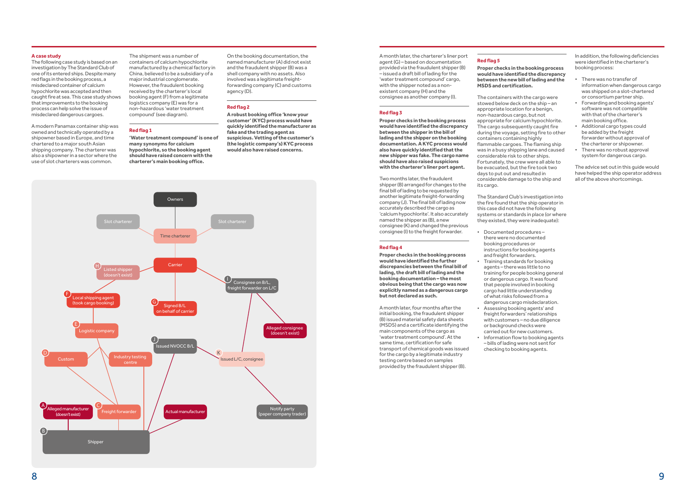

On the booking documentation, the named manufacturer (A) did not exist and the fraudulent shipper (B) was a shell company with no assets. Also involved was a legitimate freightforwarding company (C) and customs agency (D).

### **Red flag 2**

**A robust booking office 'know your customer' (KYC) process would have quickly identified the manufacturer as fake and the trading agent as suspicious. Vetting of the customer's (the logistic company's) KYC process would also have raised concerns.**

### **A case study**

The following case study is based on an investigation by The Standard Club of one of its entered ships. Despite many red flags in the booking process, a misdeclared container of calcium hypochlorite was accepted and then caught fire at sea. This case study shows that improvements to the booking process can help solve the issue of misdeclared dangerous cargoes.

A modern Panamax container ship was owned and technically operated by a shipowner based in Europe, and time chartered to a major south Asian shipping company. The charterer was also a shipowner in a sector where the use of slot charterers was common.

A month later, the charterer's liner port agent (G) – based on documentation provided via the fraudulent shipper (B) – issued a draft bill of lading for the 'water treatment compound' cargo, with the shipper noted as a nonexistent company (H) and the consignee as another company (I).

### **Red flag 3**

**Proper checks in the booking process would have identified the discrepancy between the shipper in the bill of lading and the shipper on the booking documentation. A KYC process would also have quickly identified that the new shipper was fake. The cargo name should have also raised suspicions with the charterer's liner port agent.**

Two months later, the fraudulent shipper (B) arranged for changes to the final bill of lading to be requested by another legitimate freight-forwarding company (J). The final bill of lading now accurately described the cargo as 'calcium hypochlorite'. It also accurately named the shipper as (B), a new consignee (K) and changed the previous consignee (I) to the freight forwarder.

#### **Red flag 4**

**Proper checks in the booking process would have identified the further discrepancies between the final bill of lading, the draft bill of lading and the booking documentation – the most obvious being that the cargo was now explicitly named as a dangerous cargo but not declared as such.**

A month later, four months after the initial booking, the fraudulent shipper (B) issued material safety data sheets (MSDS) and a certificate identifying the main components of the cargo as 'water treatment compound'. At the same time, certification for safe transport of chemical goods was issued for the cargo by a legitimate industry testing centre based on samples provided by the fraudulent shipper (B).

The shipment was a number of containers of calcium hypochlorite manufactured by a chemical factory in China, believed to be a subsidiary of a major industrial conglomerate. However, the fraudulent booking received by the charterer's local booking agent (F) from a legitimate logistics company (E) was for a non-hazardous 'water treatment compound' (see diagram).

### **Red flag 1**

**'Water treatment compound' is one of many synonyms for calcium hypochlorite, so the booking agent should have raised concern with the charterer's main booking office.**

**Red flag 5**

### **Proper checks in the booking process MSDS and certification.**

### **would have identified the discrepancy between the new bill of lading and the**

The containers with the cargo were stowed below deck on the ship – an appropriate location for a benign, non-hazardous cargo, but not appropriate for calcium hypochlorite. The cargo subsequently caught fire during the voyage, setting fire to other containers containing highly flammable cargoes. The flaming ship was in a busy shipping lane and caused considerable risk to other ships. Fortunately, the crew were all able to be evacuated, but the fire took two days to put out and resulted in considerable damage to the ship and its cargo.

The Standard Club's investigation into the fire found that the ship operator in this case did not have the following systems or standards in place (or where they existed, they were inadequate):

- Documented procedures there were no documented booking procedures or instructions for booking agents and freight forwarders.
- Training standards for booking agents – there was little to no training for people booking general or dangerous cargo. It was found that people involved in booking cargo had little understanding of what risks followed from a dangerous cargo misdeclaration. • Assessing booking agents' and
- freight forwarders' relationships with customers – no due diligence or background checks were carried out for new customers. • Information flow to booking agents
- bills of lading were not sent for checking to booking agents.

In addition, the following deficiencies were identified in the charterer's booking process:

- There was no transfer of information when dangerous cargo was shipped on a slot-chartered or consortium partner ship.
- Forwarding and booking agents' software was not compatible with that of the charterer's main booking office.
- Additional cargo types could be added by the freight forwarder without approval of the charterer or shipowner.
- There was no robust approval system for dangerous cargo.

The advice set out in this guide would have helped the ship operator address all of the above shortcomings.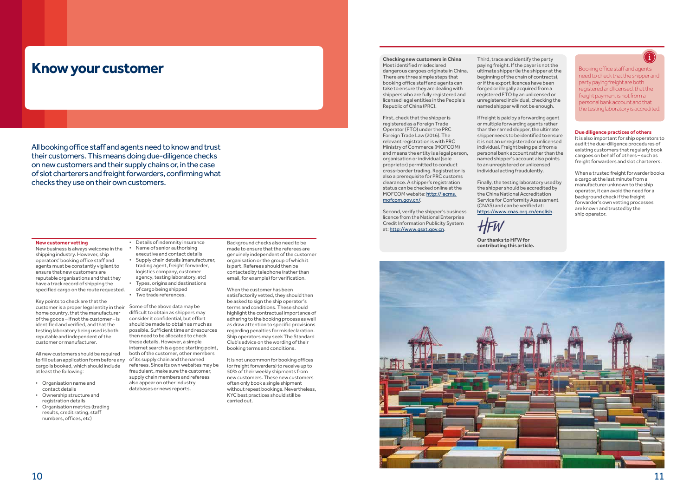

### **Know your customer**

### **New customer vetting**

New business is always welcome in the shipping industry. However, ship operators' booking office staff and agents must be constantly vigilant to ensure that new customers are reputable organisations and that they have a track record of shipping the specified cargo on the route requested.

Key points to check are that the customer is a proper legal entity in their home country, that the manufacturer of the goods – if not the customer – is identified and verified, and that the testing laboratory being used is both reputable and independent of the customer or manufacturer.

All new customers should be required to fill out an application form before any cargo is booked, which should include at least the following:

- Organisation name and contact details
- Ownership structure and registration details
- Organisation metrics (trading results, credit rating, staff numbers, offices, etc)

• Details of indemnity insurance • Name of senior authorising executive and contact details

- Supply chain details (manufacturer, trading agent, freight forwarder, logistics company, customer agency, testing laboratory, etc)
- Types, origins and destinations of cargo being shipped • Two trade references.

Some of the above data may be difficult to obtain as shippers may consider it confidential, but effort should be made to obtain as much as possible. Sufficient time and resources then need to be allocated to check these details. However, a simple internet search is a good starting point, both of the customer, other members of its supply chain and the named referees. Since its own websites may be

fraudulent, make sure the customer, supply chain members and referees also appear on other industry databases or news reports.

Background checks also need to be made to ensure that the referees are genuinely independent of the customer organisation or the group of which it is part. Referees should then be contacted by telephone (rather than email, for example) for verification.

When the customer has been satisfactorily vetted, they should then be asked to sign the ship operator's terms and conditions. These should highlight the contractual importance of adhering to the booking process as well as draw attention to specific provisions regarding penalties for misdeclaration. Ship operators may seek The Standard Club's advice on the wording of their booking terms and conditions.

It is not uncommon for booking offices (or freight forwarders) to receive up to 50% of their weekly shipments from new customers. These new customers often only book a single shipment without repeat bookings. Nevertheless, KYC best practices should still be carried out.

### **Due diligence practices of others**

It is also important for ship operators to audit the due-diligence procedures of existing customers that regularly book cargoes on behalf of others – such as freight forwarders and slot charterers.

When a trusted freight forwarder books a cargo at the last minute from a manufacturer unknown to the ship operator, it can avoid the need for a background check if the freight forwarder's own vetting processes are known and trusted by the ship operator.

All booking office staff and agents need to know and trust their customers. This means doing due-diligence checks on new customers and their supply chains or, in the case of slot charterers and freight forwarders, confirming what checks they use on their own customers.

Booking office staff and agents need to check that the shipper and party paying freight are both registered and licensed, that the freight payment is not from a personal bank account and that the testing laboratory is accredited.

**Checking new customers in China** Most identified misdeclared dangerous cargoes originate in China. There are three simple steps that booking office staff and agents can take to ensure they are dealing with shippers who are fully registered and licensed legal entities in the People's Republic of China (PRC).

First, check that the shipper is registered as a Foreign Trade Operator (FTO) under the PRC Foreign Trade Law (2016). The relevant registration is with PRC Ministry of Commerce (MOFCOM) and means the entity is a legal person, organisation or individual (sole proprietor) permitted to conduct cross-border trading. Registration is also a prerequisite for PRC customs clearance. A shipper's registration status can be checked online at the MOFCOM website: http://iecms. mofcom.gov.cn/.

Second, verify the shipper's business licence from the National Enterprise Credit Information Publicity System at: http://www.gsxt.gov.cn.

Third, trace and identify the party paying freight. If the payer is not the ultimate shipper (ie the shipper at the beginning of the chain of contracts), or if the export licences have been forged or illegally acquired from a registered FTO by an unlicensed or unregistered individual, checking the named shipper will not be enough.

If freight is paid by a forwarding agent or multiple forwarding agents rather than the named shipper, the ultimate shipper needs to be identified to ensure it is not an unregistered or unlicensed individual. Freight being paid from a personal bank account rather than the named shipper's account also points to an unregistered or unlicensed individual acting fraudulently.

Finally, the testing laboratory used by the shipper should be accredited by the China National Accreditation Service for Conformity Assessment (CNAS) and can be verified at: https://www.cnas.org.cn/english.

**Our thanks to HFW for contributing this article.**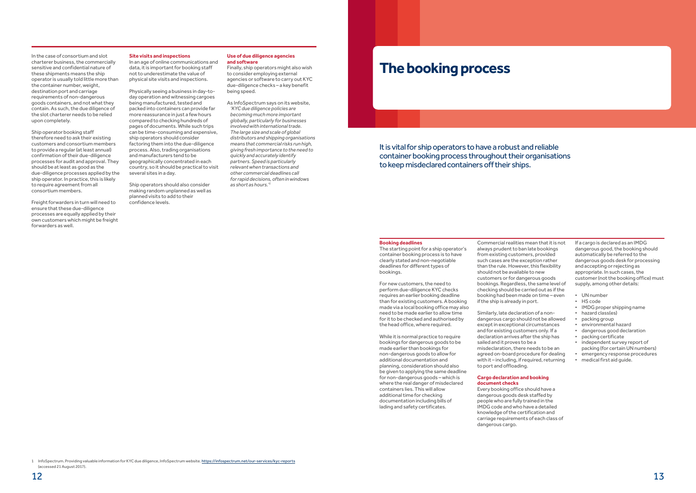### In the case of consortium and slot charterer business, the commercially sensitive and confidential nature of these shipments means the ship operator is usually told little more than the container number, weight, destination port and carriage requirements of non-dangerous goods containers, and not what they contain. As such, the due diligence of the slot charterer needs to be relied upon completely.

Ship operator booking staff therefore need to ask their existing customers and consortium members to provide a regular (at least annual) confirmation of their due-diligence processes for audit and approval. They should be at least as good as the due-diligence processes applied by the ship operator. In practice, this is likely to require agreement from all consortium members.

Freight forwarders in turn will need to ensure that these due-diligence processes are equally applied by their own customers which might be freight forwarders as well.

### **Site visits and inspections**

In an age of online communications and data, it is important for booking staff not to underestimate the value of physical site visits and inspections.

Physically seeing a business in day-today operation and witnessing cargoes being manufactured, tested and packed into containers can provide far more reassurance in just a few hours compared to checking hundreds of pages of documents. While such trips can be time-consuming and expensive, ship operators should consider factoring them into the due-diligence process. Also, trading organisations and manufacturers tend to be geographically concentrated in each country, so it should be practical to visit several sites in a day.

Ship operators should also consider making random unplanned as well as planned visits to add to their confidence levels.

### **Use of due diligence agencies and software**

Finally, ship operators might also wish to consider employing external agencies or software to carry out KYC due-diligence checks – a key benefit being speed.

As InfoSpectrum says on its website, *'KYC due diligence policies are becoming much more important globally, particularly for businesses involved with international trade. The large size and scale of global distributors and shipping organisations means that commercial risks run high, giving fresh importance to the need to quickly and accurately identify partners. Speed is particularly relevant when transactions and other commercial deadlines call for rapid decisions, often in windows as short as hours.'1*

## **The booking process**

It is vital for ship operators to have a robust and reliable container booking process throughout their organisations to keep misdeclared containers off their ships.

### **Booking deadlines**

The starting point for a ship operator's container booking process is to have clearly stated and non-negotiable deadlines for different types of bookings.

For new customers, the need to perform due-diligence KYC checks requires an earlier booking deadline than for existing customers. A booking made via a local booking office may also need to be made earlier to allow time for it to be checked and authorised by the head office, where required.

While it is normal practice to require bookings for dangerous goods to be made earlier than bookings for non-dangerous goods to allow for additional documentation and planning, consideration should also be given to applying the same deadline for non-dangerous goods – which is where the real danger of misdeclared containers lies. This will allow additional time for checking documentation including bills of lading and safety certificates.

Commercial realities mean that it is not always prudent to ban late bookings from existing customers, provided such cases are the exception rather than the rule. However, this flexibility should not be available to new customers or for dangerous goods bookings. Regardless, the same level of checking should be carried out as if the booking had been made on time – even if the ship is already in port.

Similarly, late declaration of a nondangerous cargo should not be allowed except in exceptional circumstances and for existing customers only. If a declaration arrives after the ship has sailed and it proves to be a misdeclaration, there needs to be an agreed on-board procedure for dealing with it – including, if required, returning to port and offloading.

### **Cargo declaration and booking document checks**

Every booking office should have a dangerous goods desk staffed by people who are fully trained in the IMDG code and who have a detailed knowledge of the certification and carriage requirements of each class of dangerous cargo.

If a cargo is declared as an IMDG dangerous good, the booking should automatically be referred to the dangerous goods desk for processing and accepting or rejecting as appropriate. In such cases, the customer (not the booking office) must supply, among other details:

- UN number
- HS code
- IMDG proper shipping name
- hazard class(es)
- packing group
- environmental hazard
- dangerous good declaration
- packing certificate
- independent survey report of packing (for certain UN numbers)
- emergency response procedures
- medical first aid guide.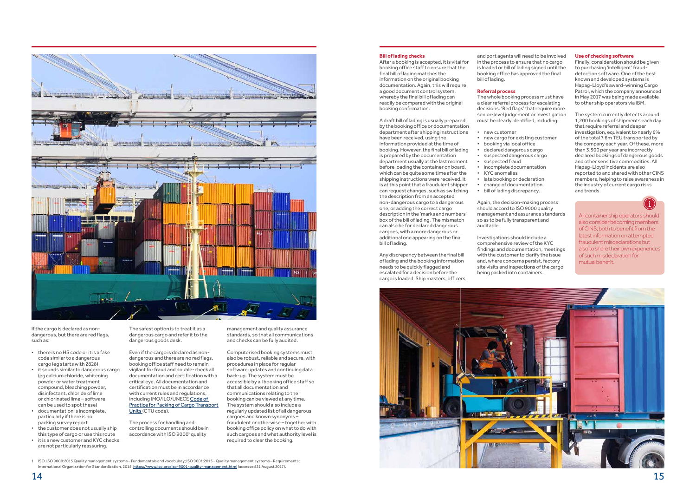



If the cargo is declared as nondangerous, but there are red flags, such as:

- there is no HS code or it is a fake code similar to a dangerous cargo (eg starts with 2828)
- it sounds similar to dangerous cargo (eg calcium chloride, whitening powder or water treatment compound, bleaching powder, disinfectant, chloride of lime or chlorinated lime – software can be used to spot these)
- documentation is incomplete, particularly if there is no packing survey report
- the customer does not usually ship this type of cargo or use this route
- it is a new customer and KYC checks are not particularly reassuring.

The process for handling and controlling documents should be in accordance with ISO 9000<sup>1</sup> quality

The safest option is to treat it as a dangerous cargo and refer it to the dangerous goods desk.

Even if the cargo is declared as nondangerous and there are no red flags, booking office staff need to remain vigilant for fraud and double-check all documentation and certification with a critical eye. All documentation and certification must be in accordance with current rules and regulations, including IMO/ILO/UNECE Code of Practice for Packing of Cargo Transport Units (CTU code).

management and quality assurance standards, so that all communications and checks can be fully audited.

Computerised booking systems must also be robust, reliable and secure, with procedures in place for regular software updates and continuing data back-up. The system must be accessible by all booking office staff so that all documentation and communications relating to the booking can be viewed at any time. The system should also include a regularly updated list of all dangerous cargoes and known synonyms – fraudulent or otherwise – together with booking office policy on what to do with such cargoes and what authority level is required to clear the booking.

1 ISO. ISO 9000:2015 Quality management systems – Fundamentals and vocabulary; ISO 9001:2015 - Quality management systems – Requirements; International Organization for Standardization, 2015. https://www.iso.org/iso-9001-quality-management.html (accessed 21 August 2017).

documentation. Again, this will require a good document control system, whereby the final bill of lading can readily be compared with the original

booking confirmation.

A draft bill of lading is usually prepared by the booking office or documentation department after shipping instructions

is prepared by the documentation department usually at the last moment

**Bill of lading checks** After a booking is accepted, it is vital for booking office staff to ensure that the final bill of lading matches the information on the original booking bill of lading.

the description from an accepted non-dangerous cargo to a dangerous one, or adding the correct cargo description in the 'marks and numbers' box of the bill of lading. The mismatch can also be for declared dangerous cargoes, with a more dangerous or additional one appearing on the final

bill of lading.

Any discrepancy between the final bill of lading and the booking information needs to be quickly flagged and escalated for a decision before the cargo is loaded. Ship masters, officers

and port agents will need to be involved in the process to ensure that no cargo is loaded or bill of lading signed until the booking office has approved the final

### **Referral process**

The whole booking process must have a clear referral process for escalating decisions. 'Red flags' that require more senior-level judgement or investigation must be clearly identified, including:

• new cargo for existing customer • suspected dangerous cargo

- new customer
- have been received, using the information provided at the time of • booking via local office
- booking. However, the final bill of lading • declared dangerous cargo
	- suspected fraud
	- incomplete documentation
- before loading the container on board, which can be quite some time after the • KYC anomalies
- shipping instructions were received. It is at this point that a fraudulent shipper
	- change of documentation
- can request changes, such as switching • bill of lading discrepancy.

• late booking or declaration

Again, the decision-making process should accord to ISO 9000 quality management and assurance standards so as to be fully transparent and auditable.

Investigations should include a comprehensive review of the KYC findings and documentation, meetings with the customer to clarify the issue and, where concerns persist, factory site visits and inspections of the cargo being packed into containers.

All container ship operators should also consider becoming members of CINS, both to benefit from the latest information on attempted fraudulent misdeclarations but also to share their own experiences of such misdeclaration for mutual benefit.

### **Use of checking software**

Finally, consideration should be given to purchasing 'intelligent' frauddetection software. One of the best known and developed systems is Hapag-Lloyd's award-winning Cargo Patrol, which the company announced in May 2017 was being made available to other ship operators via IBM.

The system currently detects around 1,200 bookings of shipments each day that require referral and deeper investigation, equivalent to nearly 6% of the total 7.6m TEU transported by the company each year. Of these, more than 3,500 per year are incorrectly declared bookings of dangerous goods and other sensitive commodities. All Hapag-Lloyd incidents are also reported to and shared with other CINS members, helping to raise awareness in the industry of current cargo risks and trends.

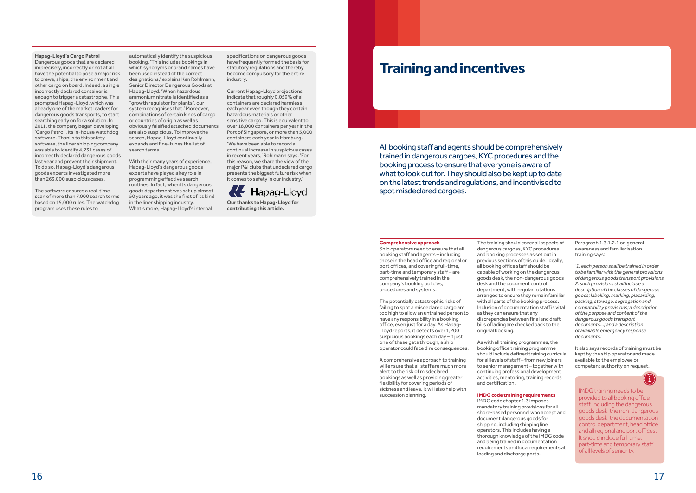### **Hapag-Lloyd's Cargo Patrol**

Dangerous goods that are declared imprecisely, incorrectly or not at all have the potential to pose a major risk to crews, ships, the environment and other cargo on board. Indeed, a single incorrectly declared container is enough to trigger a catastrophe. This prompted Hapag-Lloyd, which was already one of the market leaders for dangerous goods transports, to start searching early on for a solution. In 2011, the company began developing 'Cargo Patrol', its in-house watchdog software. Thanks to this safety software, the liner shipping company was able to identify 4,231 cases of incorrectly declared dangerous goods last year and prevent their shipment. To do so, Hapag-Lloyd's dangerous goods experts investigated more than 263,000 suspicious cases.

The software ensures a real-time scan of more than 7,000 search terms based on 15,000 rules. The watchdog program uses these rules to

specifications on dangerous goods have frequently formed the basis for statutory regulations and thereby become compulsory for the entire industry.

Current Hapag-Lloyd projections indicate that roughly 0.059% of all containers are declared harmless each year even though they contain hazardous materials or other sensitive cargo. This is equivalent to over 18,000 containers per year in the Port of Singapore, or more than 5,000 containers each year in Hamburg. 'We have been able to record a continual increase in suspicious cases in recent years,' Rohlmann says. 'For this reason, we share the view of the major P&I clubs that undeclared cargo presents the biggest future risk when it comes to safety in our industry.'



**Our thanks to Hapag-Lloyd for contributing this article.**

automatically identify the suspicious booking. 'This includes bookings in which synonyms or brand names have been used instead of the correct designations,' explains Ken Rohlmann, Senior Director Dangerous Goods at Hapag-Lloyd. 'When hazardous ammonium nitrate is identified as a "growth regulator for plants", our system recognises that.' Moreover, combinations of certain kinds of cargo or countries of origin as well as obviously falsified attached documents are also suspicious. To improve the search, Hapag-Lloyd continually expands and fine-tunes the list of search terms.

With their many years of experience, Hapag-Lloyd's dangerous goods experts have played a key role in programming effective search routines. In fact, when its dangerous goods department was set up almost 50 years ago, it was the first of its kind in the liner shipping industry. What's more, Hapag-Lloyd's internal

## **Training and incentives**

All booking staff and agents should be comprehensively trained in dangerous cargoes, KYC procedures and the booking process to ensure that everyone is aware of what to look out for. They should also be kept up to date on the latest trends and regulations, and incentivised to spot misdeclared cargoes.

### **Comprehensive approach**

Ship operators need to ensure that all booking staff and agents – including those in the head office and regional or port offices, and covering full-time, part-time and temporary staff – are comprehensively trained in the company's booking policies, procedures and systems.

The potentially catastrophic risks of failing to spot a misdeclared cargo are too high to allow an untrained person to have any responsibility in a booking office, even just for a day. As Hapag-Lloyd reports, it detects over 1,200 suspicious bookings each day – if just one of these gets through, a ship operator could face dire consequences.

A comprehensive approach to training will ensure that all staff are much more alert to the risk of misdeclared bookings as well as providing greater flexibility for covering periods of sickness and leave. It will also help with succession planning.

The training should cover all aspects of dangerous cargoes, KYC procedures and booking processes as set out in previous sections of this guide. Ideally, all booking office staff should be capable of working on the dangerous goods desk, the non-dangerous goods desk and the document control department, with regular rotations arranged to ensure they remain familiar with all parts of the booking process. Inclusion of documentation staff is vital as they can ensure that any discrepancies between final and draft bills of lading are checked back to the original booking.

As with all training programmes, the booking office training programme should include defined training curricula for all levels of staff – from new joiners to senior management – together with continuing professional development activities, mentoring, training records and certification.

### **IMDG code training requirements**

IMDG code chapter 1.3 imposes mandatory training provisions for all shore-based personnel who accept and document dangerous goods for shipping, including shipping line operators. This includes having a thorough knowledge of the IMDG code and being trained in documentation requirements and local requirements at loading and discharge ports.

Paragraph 1.3.1.2.1 on general awareness and familiarisation training says:

*'1. each person shall be trained in order to be familiar with the general provisions of dangerous goods transport provisions 2. such provisions shall include a description of the classes of dangerous goods; labelling, marking, placarding, packing, stowage, segregation and compatibility provisions; a description of the purpose and content of the dangerous goods transport documents…; and a description of available emergency response documents.'*

It also says records of training must be kept by the ship operator and made available to the employee or competent authority on request.

IMDG training needs to be provided to all booking office staff, including the dangerous goods desk, the non-dangerous goods desk, the documentation control department, head office and all regional and port offices. It should include full-time, part-time and temporary staff of all levels of seniority.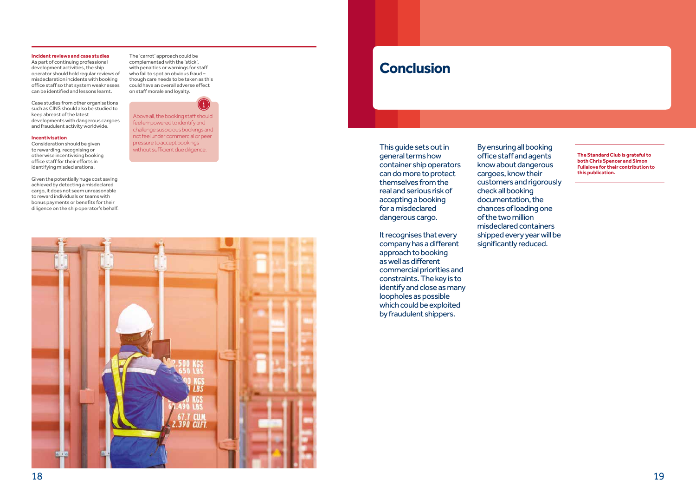### **Incident reviews and case studies**

As part of continuing professional development activities, the ship operator should hold regular reviews of misdeclaration incidents with booking office staff so that system weaknesses can be identified and lessons learnt.

Case studies from other organisations such as CINS should also be studied to keep abreast of the latest developments with dangerous cargoes and fraudulent activity worldwide.

### **Incentivisation**

Consideration should be given to rewarding, recognising or otherwise incentivising booking office staff for their efforts in identifying misdeclarations.

Given the potentially huge cost saving achieved by detecting a misdeclared cargo, it does not seem unreasonable to reward individuals or teams with bonus payments or benefits for their diligence on the ship operator's behalf.

The 'carrot' approach could be complemented with the 'stick', with penalties or warnings for staff who fail to spot an obvious fraud – though care needs to be taken as this could have an overall adverse effect on staff morale and loyalty.



Above all, the booking staff should feel empowered to identify and challenge suspicious bookings and not feel under commercial or peer pressure to accept bookings without sufficient due diligence.



# **Conclusion**

This guide sets out in general terms how container ship operators can do more to protect themselves from the real and serious risk of accepting a booking for a misdeclared dangerous cargo.

It recognises that every company has a different approach to booking as well as different commercial priorities and constraints. The key is to identify and close as many loopholes as possible which could be exploited by fraudulent shippers.

By ensuring all booking office staff and agents know about dangerous cargoes, know their customers and rigorously check all booking documentation, the chances of loading one of the two million misdeclared containers shipped every year will be significantly reduced.

**The Standard Club is grateful to both Chris Spencer and Simon Fullalove for their contribution to this publication.**